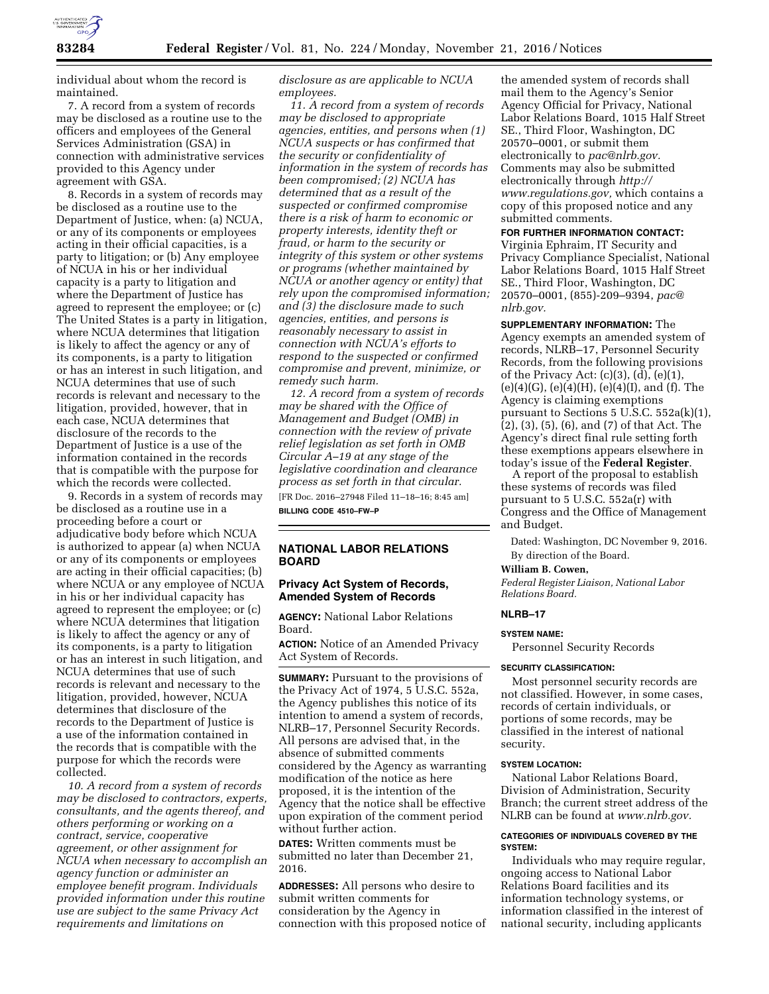

individual about whom the record is maintained.

7. A record from a system of records may be disclosed as a routine use to the officers and employees of the General Services Administration (GSA) in connection with administrative services provided to this Agency under agreement with GSA.

8. Records in a system of records may be disclosed as a routine use to the Department of Justice, when: (a) NCUA, or any of its components or employees acting in their official capacities, is a party to litigation; or (b) Any employee of NCUA in his or her individual capacity is a party to litigation and where the Department of Justice has agreed to represent the employee; or (c) The United States is a party in litigation, where NCUA determines that litigation is likely to affect the agency or any of its components, is a party to litigation or has an interest in such litigation, and NCUA determines that use of such records is relevant and necessary to the litigation, provided, however, that in each case, NCUA determines that disclosure of the records to the Department of Justice is a use of the information contained in the records that is compatible with the purpose for which the records were collected.

9. Records in a system of records may be disclosed as a routine use in a proceeding before a court or adjudicative body before which NCUA is authorized to appear (a) when NCUA or any of its components or employees are acting in their official capacities; (b) where NCUA or any employee of NCUA in his or her individual capacity has agreed to represent the employee; or (c) where NCUA determines that litigation is likely to affect the agency or any of its components, is a party to litigation or has an interest in such litigation, and NCUA determines that use of such records is relevant and necessary to the litigation, provided, however, NCUA determines that disclosure of the records to the Department of Justice is a use of the information contained in the records that is compatible with the purpose for which the records were collected.

*10. A record from a system of records may be disclosed to contractors, experts, consultants, and the agents thereof, and others performing or working on a contract, service, cooperative agreement, or other assignment for NCUA when necessary to accomplish an agency function or administer an employee benefit program. Individuals provided information under this routine use are subject to the same Privacy Act requirements and limitations on* 

*disclosure as are applicable to NCUA employees.* 

*11. A record from a system of records may be disclosed to appropriate agencies, entities, and persons when (1) NCUA suspects or has confirmed that the security or confidentiality of information in the system of records has been compromised; (2) NCUA has determined that as a result of the suspected or confirmed compromise there is a risk of harm to economic or property interests, identity theft or fraud, or harm to the security or integrity of this system or other systems or programs (whether maintained by NCUA or another agency or entity) that rely upon the compromised information; and (3) the disclosure made to such agencies, entities, and persons is reasonably necessary to assist in connection with NCUA's efforts to respond to the suspected or confirmed compromise and prevent, minimize, or remedy such harm.* 

*12. A record from a system of records may be shared with the Office of Management and Budget (OMB) in connection with the review of private relief legislation as set forth in OMB Circular A–19 at any stage of the legislative coordination and clearance process as set forth in that circular.*  [FR Doc. 2016–27948 Filed 11–18–16; 8:45 am]

**BILLING CODE 4510–FW–P** 

# **NATIONAL LABOR RELATIONS BOARD**

# **Privacy Act System of Records, Amended System of Records**

**AGENCY:** National Labor Relations Board.

**ACTION:** Notice of an Amended Privacy Act System of Records.

**SUMMARY:** Pursuant to the provisions of the Privacy Act of 1974, 5 U.S.C. 552a, the Agency publishes this notice of its intention to amend a system of records, NLRB–17, Personnel Security Records. All persons are advised that, in the absence of submitted comments considered by the Agency as warranting modification of the notice as here proposed, it is the intention of the Agency that the notice shall be effective upon expiration of the comment period without further action.

**DATES:** Written comments must be submitted no later than December 21, 2016.

**ADDRESSES:** All persons who desire to submit written comments for consideration by the Agency in connection with this proposed notice of

the amended system of records shall mail them to the Agency's Senior Agency Official for Privacy, National Labor Relations Board, 1015 Half Street SE., Third Floor, Washington, DC 20570–0001, or submit them electronically to *[pac@nlrb.gov.](mailto:pac@nlrb.gov)*  Comments may also be submitted electronically through *[http://](http://www.regulations.gov) [www.regulations.gov,](http://www.regulations.gov)* which contains a copy of this proposed notice and any submitted comments.

# **FOR FURTHER INFORMATION CONTACT:**

Virginia Ephraim, IT Security and Privacy Compliance Specialist, National Labor Relations Board, 1015 Half Street SE., Third Floor, Washington, DC 20570–0001, (855)-209–9394, *[pac@](mailto:pac@nlrb.gov) [nlrb.gov.](mailto:pac@nlrb.gov)* 

# **SUPPLEMENTARY INFORMATION:** The

Agency exempts an amended system of records, NLRB–17, Personnel Security Records, from the following provisions of the Privacy Act: (c)(3), (d), (e)(1),  $(e)(4)(G)$ ,  $(e)(4)(H)$ ,  $(e)(4)(I)$ , and  $(f)$ . The Agency is claiming exemptions pursuant to Sections 5 U.S.C. 552a(k)(1), (2), (3), (5), (6), and (7) of that Act. The Agency's direct final rule setting forth these exemptions appears elsewhere in today's issue of the **Federal Register**.

A report of the proposal to establish these systems of records was filed pursuant to 5 U.S.C. 552a(r) with Congress and the Office of Management and Budget.

Dated: Washington, DC November 9, 2016. By direction of the Board.

#### **William B. Cowen,**

*Federal Register Liaison, National Labor Relations Board.* 

# **NLRB–17**

## **SYSTEM NAME:**

Personnel Security Records

#### **SECURITY CLASSIFICATION:**

Most personnel security records are not classified. However, in some cases, records of certain individuals, or portions of some records, may be classified in the interest of national security.

# **SYSTEM LOCATION:**

National Labor Relations Board, Division of Administration, Security Branch; the current street address of the NLRB can be found at *[www.nlrb.gov.](http://www.nlrb.gov)* 

# **CATEGORIES OF INDIVIDUALS COVERED BY THE SYSTEM:**

Individuals who may require regular, ongoing access to National Labor Relations Board facilities and its information technology systems, or information classified in the interest of national security, including applicants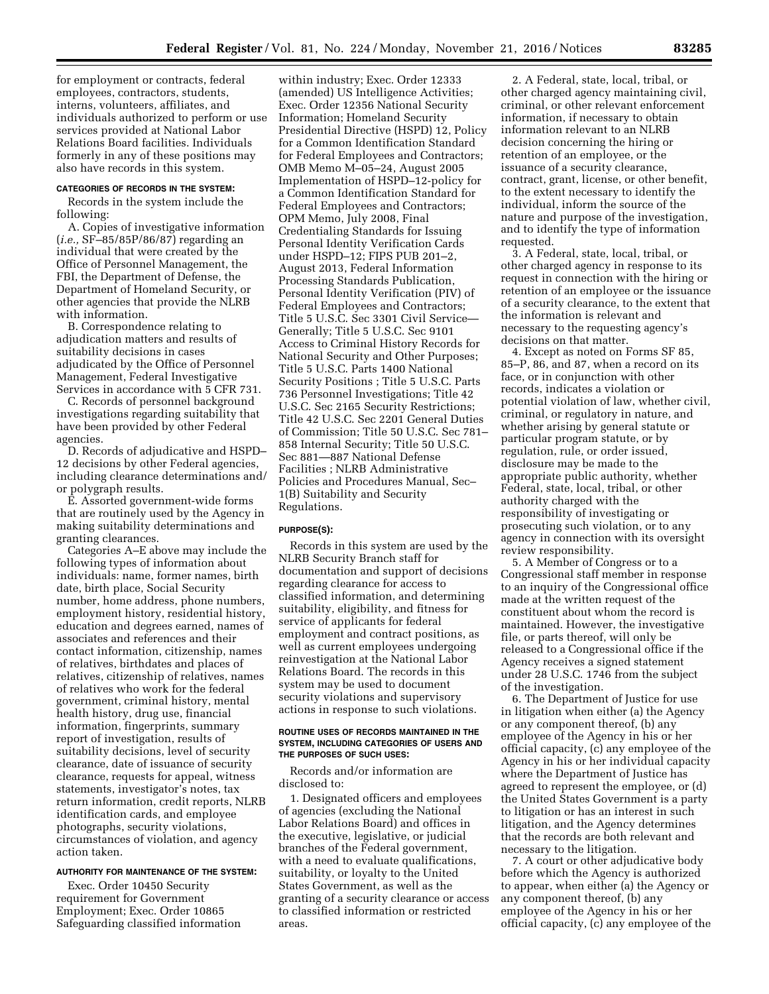for employment or contracts, federal employees, contractors, students, interns, volunteers, affiliates, and individuals authorized to perform or use services provided at National Labor Relations Board facilities. Individuals formerly in any of these positions may also have records in this system.

#### **CATEGORIES OF RECORDS IN THE SYSTEM:**

Records in the system include the following:

A. Copies of investigative information (*i.e.,* SF–85/85P/86/87) regarding an individual that were created by the Office of Personnel Management, the FBI, the Department of Defense, the Department of Homeland Security, or other agencies that provide the NLRB with information.

B. Correspondence relating to adjudication matters and results of suitability decisions in cases adjudicated by the Office of Personnel Management, Federal Investigative Services in accordance with 5 CFR 731.

C. Records of personnel background investigations regarding suitability that have been provided by other Federal agencies.

D. Records of adjudicative and HSPD– 12 decisions by other Federal agencies, including clearance determinations and/ or polygraph results.

E. Assorted government-wide forms that are routinely used by the Agency in making suitability determinations and granting clearances.

Categories A–E above may include the following types of information about individuals: name, former names, birth date, birth place, Social Security number, home address, phone numbers, employment history, residential history, education and degrees earned, names of associates and references and their contact information, citizenship, names of relatives, birthdates and places of relatives, citizenship of relatives, names of relatives who work for the federal government, criminal history, mental health history, drug use, financial information, fingerprints, summary report of investigation, results of suitability decisions, level of security clearance, date of issuance of security clearance, requests for appeal, witness statements, investigator's notes, tax return information, credit reports, NLRB identification cards, and employee photographs, security violations, circumstances of violation, and agency action taken.

# **AUTHORITY FOR MAINTENANCE OF THE SYSTEM:**

Exec. Order 10450 Security requirement for Government Employment; Exec. Order 10865 Safeguarding classified information

within industry; Exec. Order 12333 (amended) US Intelligence Activities; Exec. Order 12356 National Security Information; Homeland Security Presidential Directive (HSPD) 12, Policy for a Common Identification Standard for Federal Employees and Contractors; OMB Memo M–05–24, August 2005 Implementation of HSPD–12-policy for a Common Identification Standard for Federal Employees and Contractors; OPM Memo, July 2008, Final Credentialing Standards for Issuing Personal Identity Verification Cards under HSPD–12; FIPS PUB 201–2, August 2013, Federal Information Processing Standards Publication, Personal Identity Verification (PIV) of Federal Employees and Contractors; Title 5 U.S.C. Sec 3301 Civil Service— Generally; Title 5 U.S.C. Sec 9101 Access to Criminal History Records for National Security and Other Purposes; Title 5 U.S.C. Parts 1400 National Security Positions ; Title 5 U.S.C. Parts 736 Personnel Investigations; Title 42 U.S.C. Sec 2165 Security Restrictions; Title 42 U.S.C. Sec 2201 General Duties of Commission; Title 50 U.S.C. Sec 781– 858 Internal Security; Title 50 U.S.C. Sec 881—887 National Defense Facilities ; NLRB Administrative Policies and Procedures Manual, Sec– 1(B) Suitability and Security Regulations.

## **PURPOSE(S):**

Records in this system are used by the NLRB Security Branch staff for documentation and support of decisions regarding clearance for access to classified information, and determining suitability, eligibility, and fitness for service of applicants for federal employment and contract positions, as well as current employees undergoing reinvestigation at the National Labor Relations Board. The records in this system may be used to document security violations and supervisory actions in response to such violations.

## **ROUTINE USES OF RECORDS MAINTAINED IN THE SYSTEM, INCLUDING CATEGORIES OF USERS AND THE PURPOSES OF SUCH USES:**

Records and/or information are disclosed to:

1. Designated officers and employees of agencies (excluding the National Labor Relations Board) and offices in the executive, legislative, or judicial branches of the Federal government, with a need to evaluate qualifications, suitability, or loyalty to the United States Government, as well as the granting of a security clearance or access to classified information or restricted areas.

2. A Federal, state, local, tribal, or other charged agency maintaining civil, criminal, or other relevant enforcement information, if necessary to obtain information relevant to an NLRB decision concerning the hiring or retention of an employee, or the issuance of a security clearance, contract, grant, license, or other benefit, to the extent necessary to identify the individual, inform the source of the nature and purpose of the investigation, and to identify the type of information requested.

3. A Federal, state, local, tribal, or other charged agency in response to its request in connection with the hiring or retention of an employee or the issuance of a security clearance, to the extent that the information is relevant and necessary to the requesting agency's decisions on that matter.

4. Except as noted on Forms SF 85, 85–P, 86, and 87, when a record on its face, or in conjunction with other records, indicates a violation or potential violation of law, whether civil, criminal, or regulatory in nature, and whether arising by general statute or particular program statute, or by regulation, rule, or order issued, disclosure may be made to the appropriate public authority, whether Federal, state, local, tribal, or other authority charged with the responsibility of investigating or prosecuting such violation, or to any agency in connection with its oversight review responsibility.

5. A Member of Congress or to a Congressional staff member in response to an inquiry of the Congressional office made at the written request of the constituent about whom the record is maintained. However, the investigative file, or parts thereof, will only be released to a Congressional office if the Agency receives a signed statement under 28 U.S.C. 1746 from the subject of the investigation.

6. The Department of Justice for use in litigation when either (a) the Agency or any component thereof, (b) any employee of the Agency in his or her official capacity, (c) any employee of the Agency in his or her individual capacity where the Department of Justice has agreed to represent the employee, or (d) the United States Government is a party to litigation or has an interest in such litigation, and the Agency determines that the records are both relevant and necessary to the litigation.

7. A court or other adjudicative body before which the Agency is authorized to appear, when either (a) the Agency or any component thereof, (b) any employee of the Agency in his or her official capacity, (c) any employee of the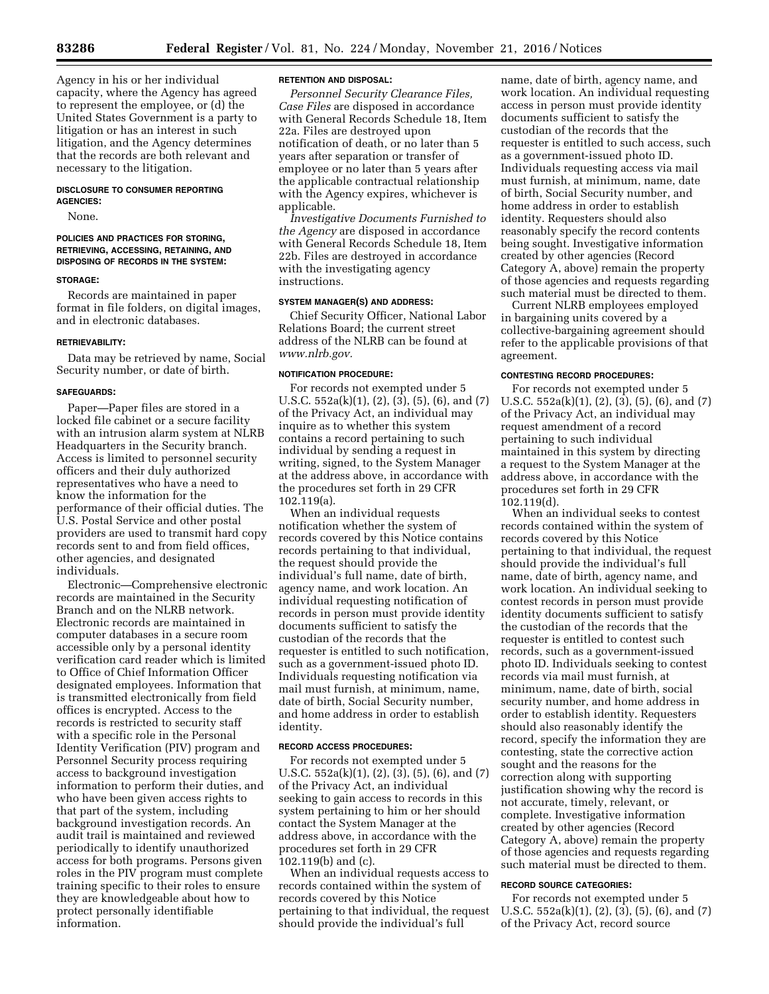Agency in his or her individual capacity, where the Agency has agreed to represent the employee, or (d) the United States Government is a party to litigation or has an interest in such litigation, and the Agency determines that the records are both relevant and necessary to the litigation.

# **DISCLOSURE TO CONSUMER REPORTING AGENCIES:**

None.

# **POLICIES AND PRACTICES FOR STORING, RETRIEVING, ACCESSING, RETAINING, AND DISPOSING OF RECORDS IN THE SYSTEM:**

#### **STORAGE:**

Records are maintained in paper format in file folders, on digital images, and in electronic databases.

#### **RETRIEVABILITY:**

Data may be retrieved by name, Social Security number, or date of birth.

#### **SAFEGUARDS:**

Paper—Paper files are stored in a locked file cabinet or a secure facility with an intrusion alarm system at NLRB Headquarters in the Security branch. Access is limited to personnel security officers and their duly authorized representatives who have a need to know the information for the performance of their official duties. The U.S. Postal Service and other postal providers are used to transmit hard copy records sent to and from field offices, other agencies, and designated individuals.

Electronic—Comprehensive electronic records are maintained in the Security Branch and on the NLRB network. Electronic records are maintained in computer databases in a secure room accessible only by a personal identity verification card reader which is limited to Office of Chief Information Officer designated employees. Information that is transmitted electronically from field offices is encrypted. Access to the records is restricted to security staff with a specific role in the Personal Identity Verification (PIV) program and Personnel Security process requiring access to background investigation information to perform their duties, and who have been given access rights to that part of the system, including background investigation records. An audit trail is maintained and reviewed periodically to identify unauthorized access for both programs. Persons given roles in the PIV program must complete training specific to their roles to ensure they are knowledgeable about how to protect personally identifiable information.

## **RETENTION AND DISPOSAL:**

*Personnel Security Clearance Files, Case Files* are disposed in accordance with General Records Schedule 18, Item 22a. Files are destroyed upon notification of death, or no later than 5 years after separation or transfer of employee or no later than 5 years after the applicable contractual relationship with the Agency expires, whichever is applicable.

*Investigative Documents Furnished to the Agency* are disposed in accordance with General Records Schedule 18, Item 22b. Files are destroyed in accordance with the investigating agency instructions.

# **SYSTEM MANAGER(S) AND ADDRESS:**

Chief Security Officer, National Labor Relations Board; the current street address of the NLRB can be found at *[www.nlrb.gov.](http://www.nlrb.gov)* 

# **NOTIFICATION PROCEDURE:**

For records not exempted under 5 U.S.C. 552a(k)(1), (2), (3), (5), (6), and (7) of the Privacy Act, an individual may inquire as to whether this system contains a record pertaining to such individual by sending a request in writing, signed, to the System Manager at the address above, in accordance with the procedures set forth in 29 CFR 102.119(a).

When an individual requests notification whether the system of records covered by this Notice contains records pertaining to that individual, the request should provide the individual's full name, date of birth, agency name, and work location. An individual requesting notification of records in person must provide identity documents sufficient to satisfy the custodian of the records that the requester is entitled to such notification, such as a government-issued photo ID. Individuals requesting notification via mail must furnish, at minimum, name, date of birth, Social Security number, and home address in order to establish identity.

#### **RECORD ACCESS PROCEDURES:**

For records not exempted under 5 U.S.C. 552a(k)(1), (2), (3), (5), (6), and (7) of the Privacy Act, an individual seeking to gain access to records in this system pertaining to him or her should contact the System Manager at the address above, in accordance with the procedures set forth in 29 CFR 102.119(b) and (c).

When an individual requests access to records contained within the system of records covered by this Notice pertaining to that individual, the request should provide the individual's full

name, date of birth, agency name, and work location. An individual requesting access in person must provide identity documents sufficient to satisfy the custodian of the records that the requester is entitled to such access, such as a government-issued photo ID. Individuals requesting access via mail must furnish, at minimum, name, date of birth, Social Security number, and home address in order to establish identity. Requesters should also reasonably specify the record contents being sought. Investigative information created by other agencies (Record Category A, above) remain the property of those agencies and requests regarding such material must be directed to them.

Current NLRB employees employed in bargaining units covered by a collective-bargaining agreement should refer to the applicable provisions of that agreement.

# **CONTESTING RECORD PROCEDURES:**

For records not exempted under 5 U.S.C. 552a(k)(1), (2), (3), (5), (6), and (7) of the Privacy Act, an individual may request amendment of a record pertaining to such individual maintained in this system by directing a request to the System Manager at the address above, in accordance with the procedures set forth in 29 CFR 102.119(d).

When an individual seeks to contest records contained within the system of records covered by this Notice pertaining to that individual, the request should provide the individual's full name, date of birth, agency name, and work location. An individual seeking to contest records in person must provide identity documents sufficient to satisfy the custodian of the records that the requester is entitled to contest such records, such as a government-issued photo ID. Individuals seeking to contest records via mail must furnish, at minimum, name, date of birth, social security number, and home address in order to establish identity. Requesters should also reasonably identify the record, specify the information they are contesting, state the corrective action sought and the reasons for the correction along with supporting justification showing why the record is not accurate, timely, relevant, or complete. Investigative information created by other agencies (Record Category A, above) remain the property of those agencies and requests regarding such material must be directed to them.

# **RECORD SOURCE CATEGORIES:**

For records not exempted under 5 U.S.C. 552a(k)(1), (2), (3), (5), (6), and (7) of the Privacy Act, record source